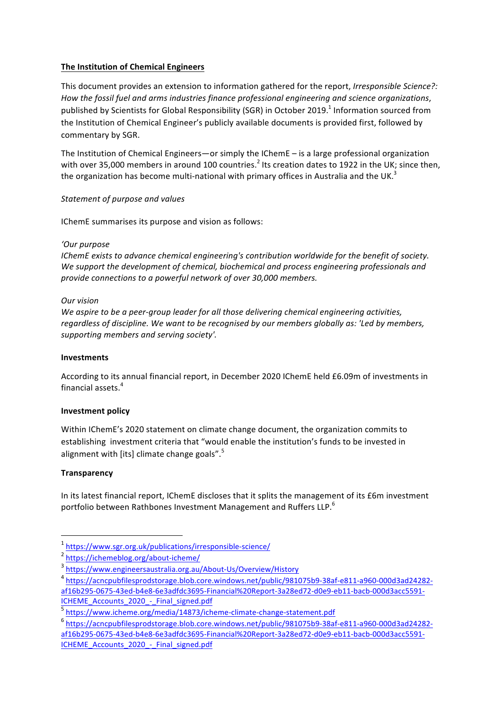# **The Institution of Chemical Engineers**

This document provides an extension to information gathered for the report, *Irresponsible Science?*: How the fossil fuel and arms industries finance professional engineering and science organizations, published by Scientists for Global Responsibility (SGR) in October 2019.<sup>1</sup> Information sourced from the Institution of Chemical Engineer's publicly available documents is provided first, followed by commentary by SGR.

The Institution of Chemical Engineers—or simply the IChemE  $-$  is a large professional organization with over 35,000 members in around 100 countries.<sup>2</sup> Its creation dates to 1922 in the UK; since then, the organization has become multi-national with primary offices in Australia and the UK.<sup>3</sup>

# *Statement of purpose and values*

IChemE summarises its purpose and vision as follows:

#### *'Our purpose*

*IChemE* exists to advance chemical engineering's contribution worldwide for the benefit of society. We support the development of chemical, biochemical and process engineering professionals and *provide connections to a powerful network of over 30,000 members.* 

# *Our vision*

We aspire to be a peer-group leader for all those delivering chemical engineering activities, regardless of discipline. We want to be recognised by our members globally as: 'Led by members, *supporting members and serving society'.*

#### **Investments**

According to its annual financial report, in December 2020 IChemE held £6.09m of investments in financial assets.<sup>4</sup>

#### **Investment policy**

Within IChemE's 2020 statement on climate change document, the organization commits to establishing investment criteria that "would enable the institution's funds to be invested in alignment with [its] climate change goals".<sup>5</sup>

# **Transparency**

In its latest financial report, IChemE discloses that it splits the management of its £6m investment portfolio between Rathbones Investment Management and Ruffers LLP.<sup>6</sup>

<sup>1</sup> https://www.sgr.org.uk/publications/irresponsible-science/

<sup>2</sup> https://ichemeblog.org/about-icheme/

<sup>3</sup> https://www.engineersaustralia.org.au/About-Us/Overview/History

<sup>4</sup> https://acncpubfilesprodstorage.blob.core.windows.net/public/981075b9-38af-e811-a960-000d3ad24282 af16b295-0675-43ed-b4e8-6e3adfdc3695-Financial%20Report-3a28ed72-d0e9-eb11-bacb-000d3acc5591- ICHEME\_Accounts\_2020\_-\_Final\_signed.pdf

<sup>5</sup> https://www.icheme.org/media/14873/icheme-climate-change-statement.pdf

<sup>6</sup> https://acncpubfilesprodstorage.blob.core.windows.net/public/981075b9-38af-e811-a960-000d3ad24282 af16b295-0675-43ed-b4e8-6e3adfdc3695-Financial%20Report-3a28ed72-d0e9-eb11-bacb-000d3acc5591- ICHEME Accounts 2020 - Final signed.pdf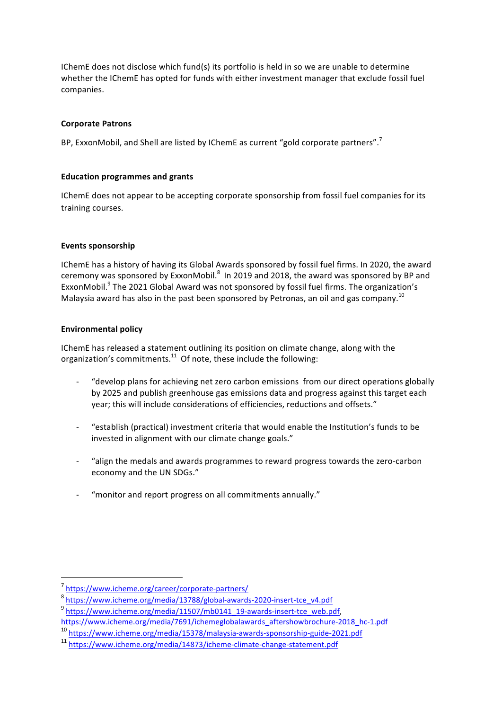IChemE does not disclose which fund(s) its portfolio is held in so we are unable to determine whether the IChemE has opted for funds with either investment manager that exclude fossil fuel companies.

# **Corporate Patrons**

BP, ExxonMobil, and Shell are listed by IChemE as current "gold corporate partners".<sup>7</sup>

# **Education programmes and grants**

IChemE does not appear to be accepting corporate sponsorship from fossil fuel companies for its training courses.

# **Events sponsorship**

IChemE has a history of having its Global Awards sponsored by fossil fuel firms. In 2020, the award ceremony was sponsored by ExxonMobil. $^8$  In 2019 and 2018, the award was sponsored by BP and ExxonMobil.<sup>9</sup> The 2021 Global Award was not sponsored by fossil fuel firms. The organization's Malaysia award has also in the past been sponsored by Petronas, an oil and gas company.<sup>10</sup>

# **Environmental policy**

IChemE has released a statement outlining its position on climate change, along with the organization's commitments. $^{11}$  Of note, these include the following:

- "develop plans for achieving net zero carbon emissions from our direct operations globally by 2025 and publish greenhouse gas emissions data and progress against this target each year; this will include considerations of efficiencies, reductions and offsets."
- "establish (practical) investment criteria that would enable the Institution's funds to be invested in alignment with our climate change goals."
- "align the medals and awards programmes to reward progress towards the zero-carbon economy and the UN SDGs."
- "monitor and report progress on all commitments annually."

<sup>7</sup> https://www.icheme.org/career/corporate-partners/

<sup>8</sup> https://www.icheme.org/media/13788/global-awards-2020-insert-tce\_v4.pdf

<sup>&</sup>lt;sup>9</sup> https://www.icheme.org/media/11507/mb0141\_19-awards-insert-tce\_web.pdf,

https://www.icheme.org/media/7691/ichemeglobalawards\_aftershowbrochure-2018\_hc-1.pdf

<sup>10</sup> https://www.icheme.org/media/15378/malaysia-awards-sponsorship-guide-2021.pdf

<sup>11</sup> https://www.icheme.org/media/14873/icheme-climate-change-statement.pdf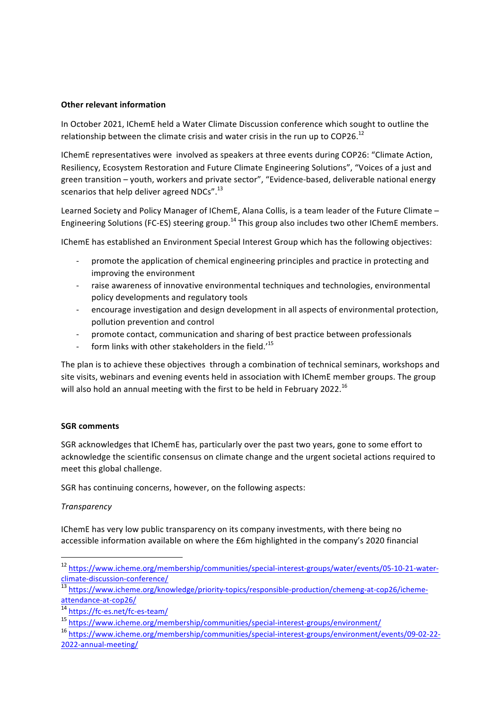#### **Other relevant information**

In October 2021, IChemE held a Water Climate Discussion conference which sought to outline the relationship between the climate crisis and water crisis in the run up to COP26.<sup>12</sup>

IChemE representatives were involved as speakers at three events during COP26: "Climate Action, Resiliency, Ecosystem Restoration and Future Climate Engineering Solutions", "Voices of a just and green transition – youth, workers and private sector", "Evidence-based, deliverable national energy scenarios that help deliver agreed NDCs".<sup>13</sup>

Learned Society and Policy Manager of IChemE, Alana Collis, is a team leader of the Future Climate -Engineering Solutions (FC-ES) steering group.<sup>14</sup> This group also includes two other IChemE members.

IChemE has established an Environment Special Interest Group which has the following objectives:

- promote the application of chemical engineering principles and practice in protecting and improving the environment
- raise awareness of innovative environmental techniques and technologies, environmental policy developments and regulatory tools
- encourage investigation and design development in all aspects of environmental protection, pollution prevention and control
- promote contact, communication and sharing of best practice between professionals
- form links with other stakeholders in the field.'<sup>15</sup>

The plan is to achieve these objectives through a combination of technical seminars, workshops and site visits, webinars and evening events held in association with IChemE member groups. The group will also hold an annual meeting with the first to be held in February 2022.<sup>16</sup>

#### **SGR** comments

SGR acknowledges that IChemE has, particularly over the past two years, gone to some effort to acknowledge the scientific consensus on climate change and the urgent societal actions required to meet this global challenge.

SGR has continuing concerns, however, on the following aspects:

#### *Transparency*

IChemE has very low public transparency on its company investments, with there being no accessible information available on where the £6m highlighted in the company's 2020 financial

<sup>12</sup> https://www.icheme.org/membership/communities/special-interest-groups/water/events/05-10-21-waterclimate-discussion-conference/

<sup>13</sup> https://www.icheme.org/knowledge/priority-topics/responsible-production/chemeng-at-cop26/ichemeattendance-at-cop26/

<sup>14</sup> https://fc-es.net/fc-es-team/

<sup>15</sup> https://www.icheme.org/membership/communities/special-interest-groups/environment/

<sup>16</sup> https://www.icheme.org/membership/communities/special-interest-groups/environment/events/09-02-22- 2022-annual-meeting/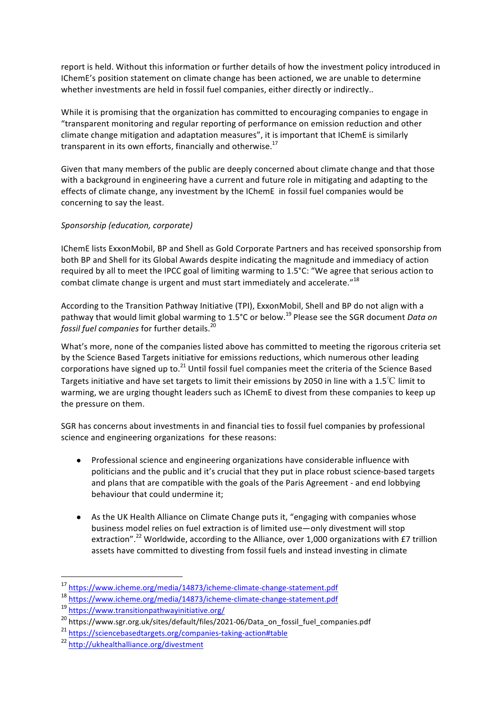report is held. Without this information or further details of how the investment policy introduced in IChemE's position statement on climate change has been actioned, we are unable to determine whether investments are held in fossil fuel companies, either directly or indirectly...

While it is promising that the organization has committed to encouraging companies to engage in "transparent monitoring and regular reporting of performance on emission reduction and other climate change mitigation and adaptation measures", it is important that IChemE is similarly transparent in its own efforts, financially and otherwise.<sup>17</sup>

Given that many members of the public are deeply concerned about climate change and that those with a background in engineering have a current and future role in mitigating and adapting to the effects of climate change, any investment by the IChemE in fossil fuel companies would be concerning to say the least.

# *Sponsorship (education, corporate)*

IChemE lists ExxonMobil, BP and Shell as Gold Corporate Partners and has received sponsorship from both BP and Shell for its Global Awards despite indicating the magnitude and immediacy of action required by all to meet the IPCC goal of limiting warming to 1.5°C: "We agree that serious action to combat climate change is urgent and must start immediately and accelerate." $^{18}$ 

According to the Transition Pathway Initiative (TPI), ExxonMobil, Shell and BP do not align with a pathway that would limit global warming to 1.5°C or below.<sup>19</sup> Please see the SGR document *Data on fossil fuel companies* for further details.<sup>20</sup>

What's more, none of the companies listed above has committed to meeting the rigorous criteria set by the Science Based Targets initiative for emissions reductions, which numerous other leading corporations have signed up to.<sup>21</sup> Until fossil fuel companies meet the criteria of the Science Based Targets initiative and have set targets to limit their emissions by 2050 in line with a 1.5℃ limit to warming, we are urging thought leaders such as IChemE to divest from these companies to keep up the pressure on them.

SGR has concerns about investments in and financial ties to fossil fuel companies by professional science and engineering organizations for these reasons:

- Professional science and engineering organizations have considerable influence with politicians and the public and it's crucial that they put in place robust science-based targets and plans that are compatible with the goals of the Paris Agreement - and end lobbying behaviour that could undermine it:
- As the UK Health Alliance on Climate Change puts it, "engaging with companies whose business model relies on fuel extraction is of limited use—only divestment will stop extraction".<sup>22</sup> Worldwide, according to the Alliance, over 1,000 organizations with £7 trillion assets have committed to divesting from fossil fuels and instead investing in climate

<sup>&</sup>lt;sup>17</sup> https://www.icheme.org/media/14873/icheme-climate-change-statement.pdf

<sup>18</sup> https://www.icheme.org/media/14873/icheme-climate-change-statement.pdf

<sup>19</sup> https://www.transitionpathwayinitiative.org/

<sup>&</sup>lt;sup>20</sup> https://www.sgr.org.uk/sites/default/files/2021-06/Data\_on\_fossil\_fuel\_companies.pdf

<sup>21</sup> https://sciencebasedtargets.org/companies-taking-action#table

<sup>22</sup> http://ukhealthalliance.org/divestment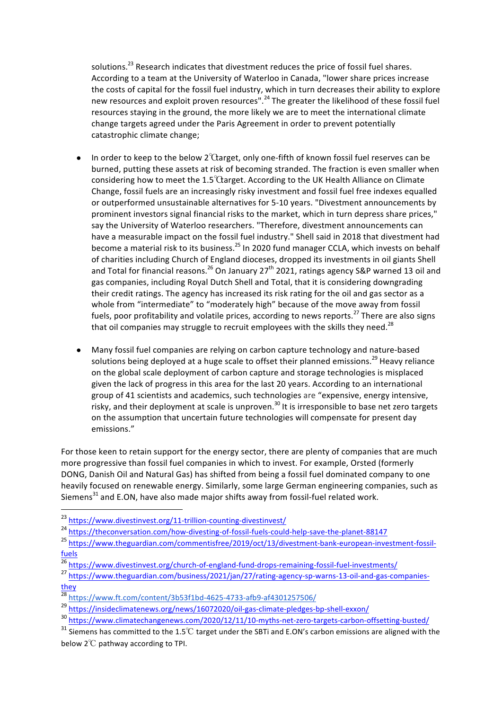solutions.<sup>23</sup> Research indicates that divestment reduces the price of fossil fuel shares. According to a team at the University of Waterloo in Canada, "lower share prices increase the costs of capital for the fossil fuel industry, which in turn decreases their ability to explore new resources and exploit proven resources".<sup>24</sup> The greater the likelihood of these fossil fuel resources staying in the ground, the more likely we are to meet the international climate change targets agreed under the Paris Agreement in order to prevent potentially catastrophic climate change;

- In order to keep to the below  $2^{\circ}$  Ctarget, only one-fifth of known fossil fuel reserves can be burned, putting these assets at risk of becoming stranded. The fraction is even smaller when considering how to meet the  $1.5^{\circ}$ Carget. According to the UK Health Alliance on Climate Change, fossil fuels are an increasingly risky investment and fossil fuel free indexes equalled or outperformed unsustainable alternatives for 5-10 years. "Divestment announcements by prominent investors signal financial risks to the market, which in turn depress share prices," say the University of Waterloo researchers. "Therefore, divestment announcements can have a measurable impact on the fossil fuel industry." Shell said in 2018 that divestment had become a material risk to its business.<sup>25</sup> In 2020 fund manager CCLA, which invests on behalf of charities including Church of England dioceses, dropped its investments in oil giants Shell and Total for financial reasons.<sup>26</sup> On January 27<sup>th</sup> 2021, ratings agency S&P warned 13 oil and gas companies, including Royal Dutch Shell and Total, that it is considering downgrading their credit ratings. The agency has increased its risk rating for the oil and gas sector as a whole from "intermediate" to "moderately high" because of the move away from fossil fuels, poor profitability and volatile prices, according to news reports.<sup>27</sup> There are also signs that oil companies may struggle to recruit employees with the skills they need.<sup>28</sup>
- Many fossil fuel companies are relying on carbon capture technology and nature-based solutions being deployed at a huge scale to offset their planned emissions.<sup>29</sup> Heavy reliance on the global scale deployment of carbon capture and storage technologies is misplaced given the lack of progress in this area for the last 20 years. According to an international group of 41 scientists and academics, such technologies are "expensive, energy intensive, risky, and their deployment at scale is unproven.<sup>30</sup> It is irresponsible to base net zero targets on the assumption that uncertain future technologies will compensate for present day emissions."

For those keen to retain support for the energy sector, there are plenty of companies that are much more progressive than fossil fuel companies in which to invest. For example, Orsted (formerly DONG, Danish Oil and Natural Gas) has shifted from being a fossil fuel dominated company to one heavily focused on renewable energy. Similarly, some large German engineering companies, such as Siemens $^{31}$  and E.ON, have also made major shifts away from fossil-fuel related work.

- <sup>24</sup> https://theconversation.com/how-divesting-of-fossil-fuels-could-help-save-the-planet-88147
- <sup>25</sup> https://www.theguardian.com/commentisfree/2019/oct/13/divestment-bank-european-investment-fossilfuels
- 26 https://www.divestinvest.org/church-of-england-fund-drops-remaining-fossil-fuel-investments/
- <sup>27</sup> https://www.theguardian.com/business/2021/jan/27/rating-agency-sp-warns-13-oil-and-gas-companiesthey

<sup>23</sup> https://www.divestinvest.org/11-trillion-counting-divestinvest/

<sup>28</sup> https://www.ft.com/content/3b53f1bd-4625-4733-afb9-af4301257506/

<sup>29</sup> https://insideclimatenews.org/news/16072020/oil-gas-climate-pledges-bp-shell-exxon/

<sup>30</sup> https://www.climatechangenews.com/2020/12/11/10-myths-net-zero-targets-carbon-offsetting-busted/

 $31$  Siemens has committed to the 1.5℃ target under the SBTi and E.ON's carbon emissions are aligned with the below  $2^{\circ}$ C pathway according to TPI.